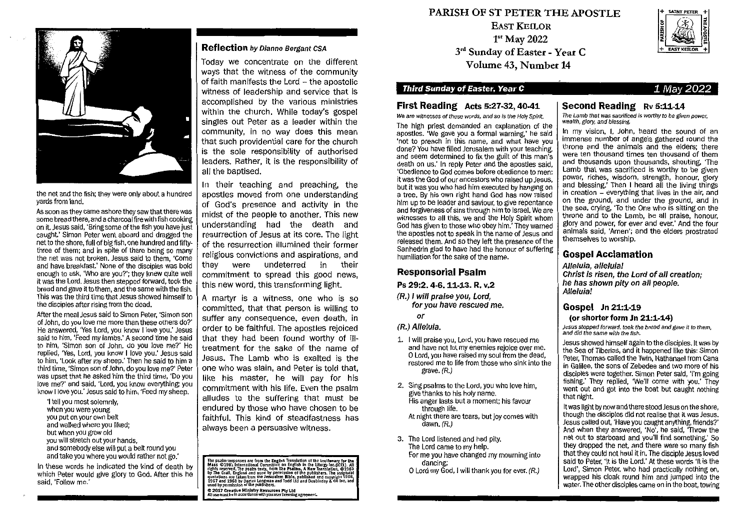

the net and the fish; they were only about a hundred yards from land.

As soon as they came ashore they saw that there was some bread there, and a charcoal firewith fish cooking on it. Jesus said 'Bring some of the fish you have just caught' Simon Peter went aboard and dragged the net to the shore, full of big fish, one hundred and fiftythree of them; and in spite of there being so many the net was not broken. Jesus said to them, 'Come and have breakfast.' None of the disciples was bold enough to ask, 'Who are you?'; they knew quite well it was the Lord. Jesus then stepped forward, took the bread and gave it to them, and the same with the fish. This was the third time that Jesus showed himself to the disciples after rising from the dead.

After the meal Jesus said to Simon Peter, 'Simon son of John, do you love me more than these others do?' He answered, 'Yes Lord, you know I love you.' Jesus said to him, 'Feed my lambs.' A second time he said to him, 'Simon son of John, do you love me?' He replied, 'Yes, Lord, you know **I** love you.' Jesus said to him, 'Look after my sheep.' Then he said to him a third time, 'Simon son of John, do you love me?' Peter was upset that he asked him the third time, 'Do you love me?' and said, 'Lord, you know everything; you know I love you.' Jesus said to him, 'Feed my sheep.

'I tell you most solemnly, when you were young you put on your own belt and walked where you liked; but when you grow old you will stretch out your hands, and somebody else will put a belt round you and take you where you would rather not go.'

In these words he indicated the kind of death by which Peter would give glory to God. After this he said, 'Follow me.'

#### **Reflection** by Dianne Bergant CSA

Today we concentrate on the different ways that the witness of the community of faith manifests the Lord  $-$  the apostolic witness of leadership and service that is accomplished by the various ministries within the church. While today's gospel singles out Peter as a leader within the community, in no way does this mean that such providential care for the church is the sole responsibility of authorised leaders. Rather, it is the responsibility of all the baptised.

In their teaching and preaching, the apostles moved from one understanding of God's presence and activity in the midst of the people to another. This new understanding had the death and resurrection of Jesus at its core. The light of the resurrection illumined their former religious convictions and aspirations, and they were undeterred in their commitment to spread this good news, this new word, this transforming light.

A martyr is a witness, one who is so committed, that that person is willing to suffer any consequence, even death, in order to be faithful. The apostles rejoiced that they had been found worthy of illtreatment for the sake of the name of Jesus. The Lamb who is exalted is the one who was slain, and Peter is told that, like his master, he will pay for his commitment with his life. Even the psalm alludes to the suffering that must be endured by those who have chosen to be faithful. This kind of steadfastness has always been a persuasive witness.

The psalm responses are from the English Translation of the Leetlerary for the Mass ©1981 Intenational Committee on English in the Liurgy Inc. (ICEL). All rights reserved. The psalms texts, from The Psalms, A Hew Translat © 2017 Creative Ministry Resources Pty Ltd<br>All use must be in accordance with your user ficensing agreement.

# PARISH OF ST PETER THE APOSTLE

EAST **KEILOR**  1<sup>st</sup> May 2022 3<sup>rd</sup> Sunday of Easter - Year C Volume 43, Number 14

# **Third Sunday of Easter, Year C** 1 May 2022

# **First Reading Acts 5:27-32, 40-41**

We are witnesses of these words, and so is the Holy Spirit.

The high priest demanded an explanation of the apostles. 'We gave you a formal warning,' he said 'not to preach in this name, and what have you done? You have filled Jerusalem with your teaching, and seem determined to fix the guilt of this man's death on us.' In reply Peter and the apostles said, 'Obedience to God comes before obedience to men; it was the God of our ancestors who raised up Jesus, but it was you who had him executed by hanging on a tree. By his own right hand God has now raised him up to be leader and saviour, to give repentance and forgiveness of sins through him to Israel. We are witnesses to all this, we and the Holy Spirit whom God has given to those who obey him.' They warned the apostles not to speak in the name of Jesus and released them. And so they left the presence of the Sanhedrin glad to have had the honour of suffering humiliation for the sake of the name.

#### **Responsorial Psalm**

#### **Ps 29:2. 4-6. 11-13. R. v.2**

(R.) I will praise you, Lord, for you have rescued me.

or

#### (R.) Alleluia.

- 1. I will praise you, Lord, you have rescued me and have not let my enemies rejoice over me. 0 Lord, you have raised my soul from the dead, restored me to life from those who sink into the grave. (R.)
- 2. Sing psalms to the Lord, you who love him, give thanks to his holy name. His anger lasts but a moment; his favour
	- through life. At night there are tears, but joy comes with
	- dawn. (R.)
- 3. The Lord listened and had pity. The Lord came to my help. For me you have changed my mourning into dancing;

0 Lord my God, I will thank you for ever. (R.)



**SAINT PETER** 

#### **Second Reading Rv 5:11-14**  The Lamb that was sacrificed is worthy to be given power, wealth, glory, and blessing.

In my vision, I, John, heard the sound of an immense number of angels gathered round the throne and the animals and the elders; there were ten thousand times ten thousand of them and thousands upon thousands, shouting, 'The Lamb that was sacrificed is worthy to be given power, riches, wisdom, strength, honour, glory and blessing.' Then I heard all the living things in creation - everything that lives in the air, and on the ground, and under the ground, and in the sea, crying, 'To the One who is sitting on the throne and to the Lamb, be all praise, honour, glory and power, for ever and ever.' And the four animals said, 'Amen'; and the elders prostrated themselves to worship.

#### **Gospel Acclamation**

Alleluia, alleluia! Christ is risen, the Lord of all creation; he has shown pity on all people. Alleluia!

#### **Gospel in 21:1-19**

#### **(or shorter form in 21:1-14)**

Jesus stepped forward, took the bread and gave it to them. and did the same with the fish.

Jesus showed himself again to the disciples. It was by the Sea of Tiberias, and it happened like this: Simon Peter, Thomas called the Twin, Nathanael from Cana in Galilee, the sons of Zebedee and two more of his disciples were together. Simon Peter said, 'I'm going fishing.' They replied, 'We'll come with you.' They went out and got into the boat but caught nothing that night.

It was light by now and there stood Jesus on the shore, though the disciples did not realise that it was Jesus. Jesus called out, 'Have you caught anything, friends?' And when they answered, 'No', he said, 'Throw the net out to starboard and you'll find something.' So they dropped the net, and there were so many fish that they could not haul it in. The disciple Jesus loved said to Peter, 'It is the Lord.' At these words 'It is the Lord', Simon Peter, who had practically nothing on, wrapped his cloak round him and jumped into the water. The other disciples came on in the boat, towing